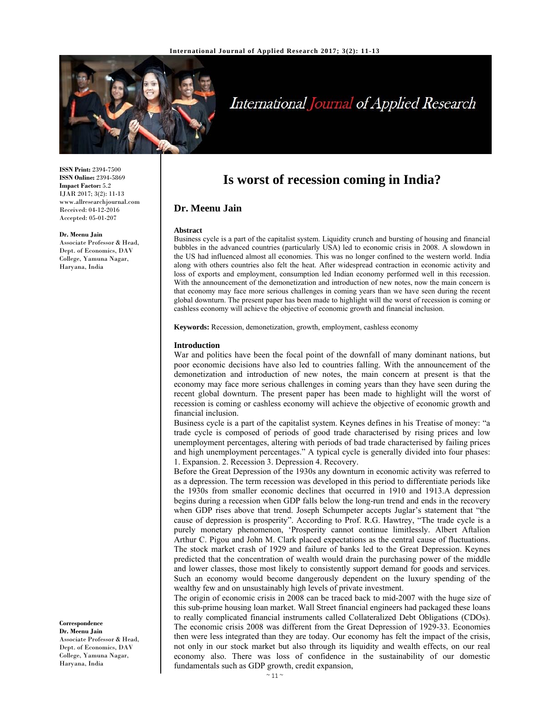

# International Journal of Applied Research

**ISSN Print:** 2394-7500 **ISSN Online:** 2394-5869 **Impact Factor:** 5.2 IJAR 2017; 3(2): 11-13 www.allresearchjournal.com Received: 04-12-2016 Accepted: 05-01-207

#### **Dr. Meenu Jain**

Associate Professor & Head, Dept. of Economics, DAV College, Yamuna Nagar, Haryana, India

**Correspondence Dr. Meenu Jain** 

Associate Professor & Head, Dept. of Economics, DAV College, Yamuna Nagar, Haryana, India

# **Is worst of recession coming in India?**

# **Dr. Meenu Jain**

#### **Abstract**

Business cycle is a part of the capitalist system. Liquidity crunch and bursting of housing and financial bubbles in the advanced countries (particularly USA) led to economic crisis in 2008. A slowdown in the US had influenced almost all economies. This was no longer confined to the western world. India along with others countries also felt the heat. After widespread contraction in economic activity and loss of exports and employment, consumption led Indian economy performed well in this recession. With the announcement of the demonetization and introduction of new notes, now the main concern is that economy may face more serious challenges in coming years than we have seen during the recent global downturn. The present paper has been made to highlight will the worst of recession is coming or cashless economy will achieve the objective of economic growth and financial inclusion.

**Keywords:** Recession, demonetization, growth, employment, cashless economy

#### **Introduction**

War and politics have been the focal point of the downfall of many dominant nations, but poor economic decisions have also led to countries falling. With the announcement of the demonetization and introduction of new notes, the main concern at present is that the economy may face more serious challenges in coming years than they have seen during the recent global downturn. The present paper has been made to highlight will the worst of recession is coming or cashless economy will achieve the objective of economic growth and financial inclusion.

Business cycle is a part of the capitalist system. Keynes defines in his Treatise of money: "a trade cycle is composed of periods of good trade characterised by rising prices and low unemployment percentages, altering with periods of bad trade characterised by failing prices and high unemployment percentages." A typical cycle is generally divided into four phases: 1. Expansion. 2. Recession 3. Depression 4. Recovery.

Before the Great Depression of the 1930s any downturn in economic activity was referred to as a depression. The term recession was developed in this period to differentiate periods like the 1930s from smaller economic declines that occurred in 1910 and 1913.A depression begins during a recession when GDP falls below the long-run trend and ends in the recovery when GDP rises above that trend. Joseph Schumpeter accepts Juglar's statement that "the cause of depression is prosperity". According to Prof. R.G. Hawtrey, "The trade cycle is a purely monetary phenomenon, 'Prosperity cannot continue limitlessly. Albert Aftalion Arthur C. Pigou and John M. Clark placed expectations as the central cause of fluctuations. The stock market crash of 1929 and failure of banks led to the Great Depression. Keynes predicted that the concentration of wealth would drain the purchasing power of the middle and lower classes, those most likely to consistently support demand for goods and services. Such an economy would become dangerously dependent on the luxury spending of the wealthy few and on unsustainably high levels of private investment.

The origin of economic crisis in 2008 can be traced back to mid-2007 with the huge size of this sub-prime housing loan market. Wall Street financial engineers had packaged these loans to really complicated financial instruments called Collateralized Debt Obligations (CDOs). The economic crisis 2008 was different from the Great Depression of 1929-33. Economies then were less integrated than they are today. Our economy has felt the impact of the crisis, not only in our stock market but also through its liquidity and wealth effects, on our real economy also. There was loss of confidence in the sustainability of our domestic fundamentals such as GDP growth, credit expansion,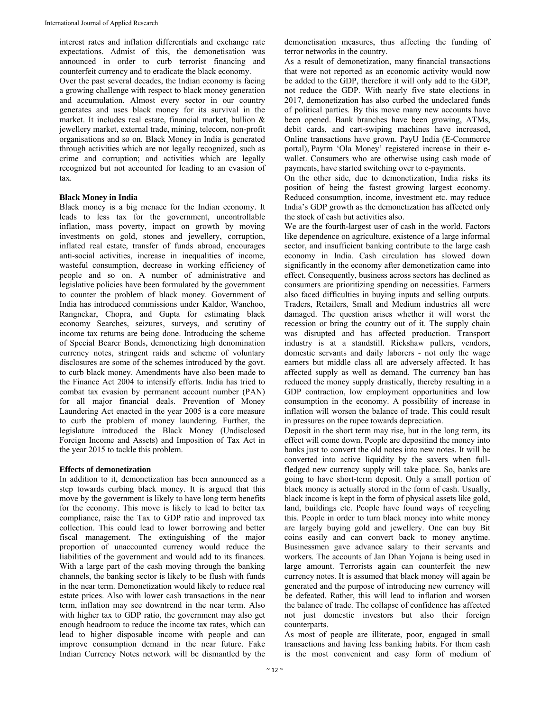interest rates and inflation differentials and exchange rate expectations. Admist of this, the demonetisation was announced in order to curb terrorist financing and counterfeit currency and to eradicate the black economy.

Over the past several decades, the Indian economy is facing a growing challenge with respect to black money generation and accumulation. Almost every sector in our country generates and uses black money for its survival in the market. It includes real estate, financial market, bullion & jewellery market, external trade, mining, telecom, non-profit organisations and so on. Black Money in India is generated through activities which are not legally recognized, such as crime and corruption; and activities which are legally recognized but not accounted for leading to an evasion of tax.

# **Black Money in India**

Black money is a big menace for the Indian economy. It leads to less tax for the government, uncontrollable inflation, mass poverty, impact on growth by moving investments on gold, stones and jewellery, corruption, inflated real estate, transfer of funds abroad, encourages anti-social activities, increase in inequalities of income, wasteful consumption, decrease in working efficiency of people and so on. A number of administrative and legislative policies have been formulated by the government to counter the problem of black money. Government of India has introduced commissions under Kaldor, Wanchoo, Rangnekar, Chopra, and Gupta for estimating black economy Searches, seizures, surveys, and scrutiny of income tax returns are being done. Introducing the scheme of Special Bearer Bonds, demonetizing high denomination currency notes, stringent raids and scheme of voluntary disclosures are some of the schemes introduced by the govt. to curb black money. Amendments have also been made to the Finance Act 2004 to intensify efforts. India has tried to combat tax evasion by permanent account number (PAN) for all major financial deals. Prevention of Money Laundering Act enacted in the year 2005 is a core measure to curb the problem of money laundering. Further, the legislature introduced the Black Money (Undisclosed Foreign Income and Assets) and Imposition of Tax Act in the year 2015 to tackle this problem.

### **Effects of demonetization**

In addition to it, demonetization has been announced as a step towards curbing black money. It is argued that this move by the government is likely to have long term benefits for the economy. This move is likely to lead to better tax compliance, raise the Tax to GDP ratio and improved tax collection. This could lead to lower borrowing and better fiscal management. The extinguishing of the major proportion of unaccounted currency would reduce the liabilities of the government and would add to its finances. With a large part of the cash moving through the banking channels, the banking sector is likely to be flush with funds in the near term. Demonetization would likely to reduce real estate prices. Also with lower cash transactions in the near term, inflation may see downtrend in the near term. Also with higher tax to GDP ratio, the government may also get enough headroom to reduce the income tax rates, which can lead to higher disposable income with people and can improve consumption demand in the near future. Fake Indian Currency Notes network will be dismantled by the

demonetisation measures, thus affecting the funding of terror networks in the country.

As a result of demonetization, many financial transactions that were not reported as an economic activity would now be added to the GDP, therefore it will only add to the GDP, not reduce the GDP. With nearly five state elections in 2017, demonetization has also curbed the undeclared funds of political parties. By this move many new accounts have been opened. Bank branches have been growing, ATMs, debit cards, and cart-swiping machines have increased, Online transactions have grown. PayU India (E-Commerce portal), Paytm 'Ola Money' registered increase in their ewallet. Consumers who are otherwise using cash mode of payments, have started switching over to e-payments.

On the other side, due to demonetization, India risks its position of being the fastest growing largest economy. Reduced consumption, income, investment etc. may reduce India's GDP growth as the demonetization has affected only the stock of cash but activities also.

We are the fourth-largest user of cash in the world. Factors like dependence on agriculture, existence of a large informal sector, and insufficient banking contribute to the large cash economy in India. Cash circulation has slowed down significantly in the economy after demonetization came into effect. Consequently, business across sectors has declined as consumers are prioritizing spending on necessities. Farmers also faced difficulties in buying inputs and selling outputs. Traders, Retailers, Small and Medium industries all were damaged. The question arises whether it will worst the recession or bring the country out of it. The supply chain was disrupted and has affected production. Transport industry is at a standstill. Rickshaw pullers, vendors, domestic servants and daily laborers - not only the wage earners but middle class all are adversely affected. It has affected supply as well as demand. The currency ban has reduced the money supply drastically, thereby resulting in a GDP contraction, low employment opportunities and low consumption in the economy. A possibility of increase in inflation will worsen the balance of trade. This could result in pressures on the rupee towards depreciation.

Deposit in the short term may rise, but in the long term, its effect will come down. People are depositind the money into banks just to convert the old notes into new notes. It will be converted into active liquidity by the savers when fullfledged new currency supply will take place. So, banks are going to have short-term deposit. Only a small portion of black money is actually stored in the form of cash. Usually, black income is kept in the form of physical assets like gold, land, buildings etc. People have found ways of recycling this. People in order to turn black money into white money are largely buying gold and jewellery. One can buy Bit coins easily and can convert back to money anytime. Businessmen gave advance salary to their servants and workers. The accounts of Jan Dhan Yojana is being used in large amount. Terrorists again can counterfeit the new currency notes. It is assumed that black money will again be generated and the purpose of introducing new currency will be defeated. Rather, this will lead to inflation and worsen the balance of trade. The collapse of confidence has affected not just domestic investors but also their foreign counterparts.

As most of people are illiterate, poor, engaged in small transactions and having less banking habits. For them cash is the most convenient and easy form of medium of